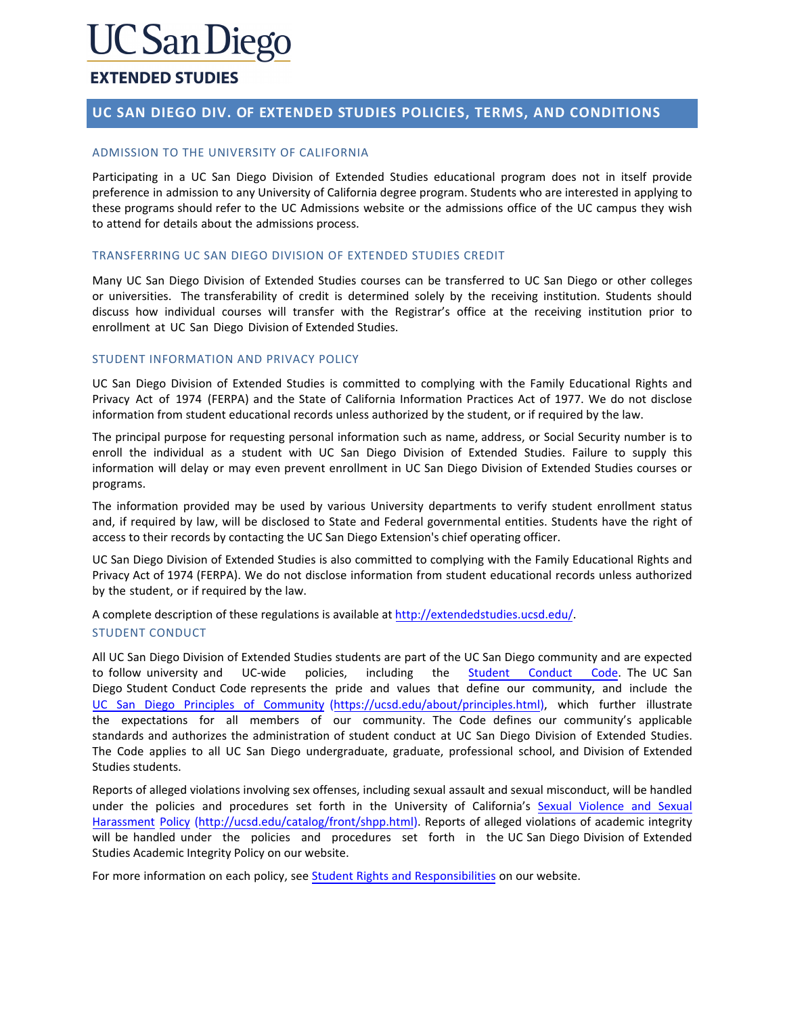# C San Diego

## **EXTENDED STUDIES**

## **UC SAN DIEGO DIV. OF EXTENDED STUDIES POLICIES, TERMS, AND CONDITIONS**

## ADMISSION TO THE UNIVERSITY OF CALIFORNIA

Participating in a UC San Diego Division of Extended Studies educational program does not in itself provide preference in admission to any University of California degree program. Students who are interested in applying to these programs should refer to the UC Admissions website or the admissions office of the UC campus they wish to attend for details about the admissions process.

## TRANSFERRING UC SAN DIEGO DIVISION OF EXTENDED STUDIES CREDIT

Many UC San Diego Division of Extended Studies courses can be transferred to UC San Diego or other colleges or universities. The transferability of credit is determined solely by the receiving institution. Students should discuss how individual courses will transfer with the Registrar's office at the receiving institution prior to enrollment at UC San Diego Division of Extended Studies.

## STUDENT INFORMATION AND PRIVACY POLICY

UC San Diego Division of Extended Studies is committed to complying with the Family Educational Rights and Privacy Act of 1974 (FERPA) and the State of California Information Practices Act of 1977. We do not disclose information from student educational records unless authorized by the student, or if required by the law.

The principal purpose for requesting personal information such as name, address, or Social Security number is to enroll the individual as a student with UC San Diego Division of Extended Studies. Failure to supply this information will delay or may even prevent enrollment in UC San Diego Division of Extended Studies courses or programs.

The information provided may be used by various University departments to verify student enrollment status and, if required by law, will be disclosed to State and Federal governmental entities. Students have the right of access to their records by contacting the UC San Diego Extension's chief operating officer.

UC San Diego Division of Extended Studies is also committed to complying with the Family Educational Rights and Privacy Act of 1974 (FERPA). We do not disclose informa[tion from student education](http://extension.ucsd.edu/)al records unless authorized by the student, or if required by the law.

A complete description of these regulations is available at http://extendedstudies.ucsd.edu/.

## STUDENT CONDUCT

All UC San Diego Division of Extended Studies students are part of the UC San Diego community and are expected to follow university and UC-wide policies, including the Student [Conduct](http://students.ucsd.edu/student-life/_organizations/student-conduct/regulations/22.00.html) Code. The UC San [Diego Student Conduct Code represents the pride and va](http://students.ucsd.edu/student-life/_organizations/student-conduct/regulations/22.00.html)lues that define our community, and include the UC San Diego Principles of Community [\(https://ucsd.edu/about/principles.html\),](https://ucsd.edu/about/principles.html) which further illustrate the expectations for all members of our community. The Code defines our community's applicable standards and authorizes the administration of student conduct at UC San Diego Division of Extended Studies. The Code applies to all UC San Diego undergraduate, graduate, professional school, and Division of Extended Studies students.

Reports of alleged violations involving sex offenses, including sexual assault and sexual misconduct, will be handled under the policies and procedures set forth in the University of C[alifornia's Sexual](http://ucsd.edu/catalog/front/shpp.html) Violence and Sexual [Harass](http://ucsd.edu/catalog/front/shpp.html)ment Policy [\(http://ucsd.edu/catalog/front/shpp.html\).](http://ucsd.edu/catalog/front/shpp.html) Reports of alleged violations of academic integrity will be handled under the policies and procedures set forth in the UC San Diego Division of Extended Studies Academic Integrity Policy on our website.

For more information on each policy, see Student Rights [and Responsibilities](https://extendedstudies.ucsd.edu/student-resources/student-rights-and-responsibilities) [on our website.](https://extension.ucsd.edu/student-resources/student-rights-and-responsibilities)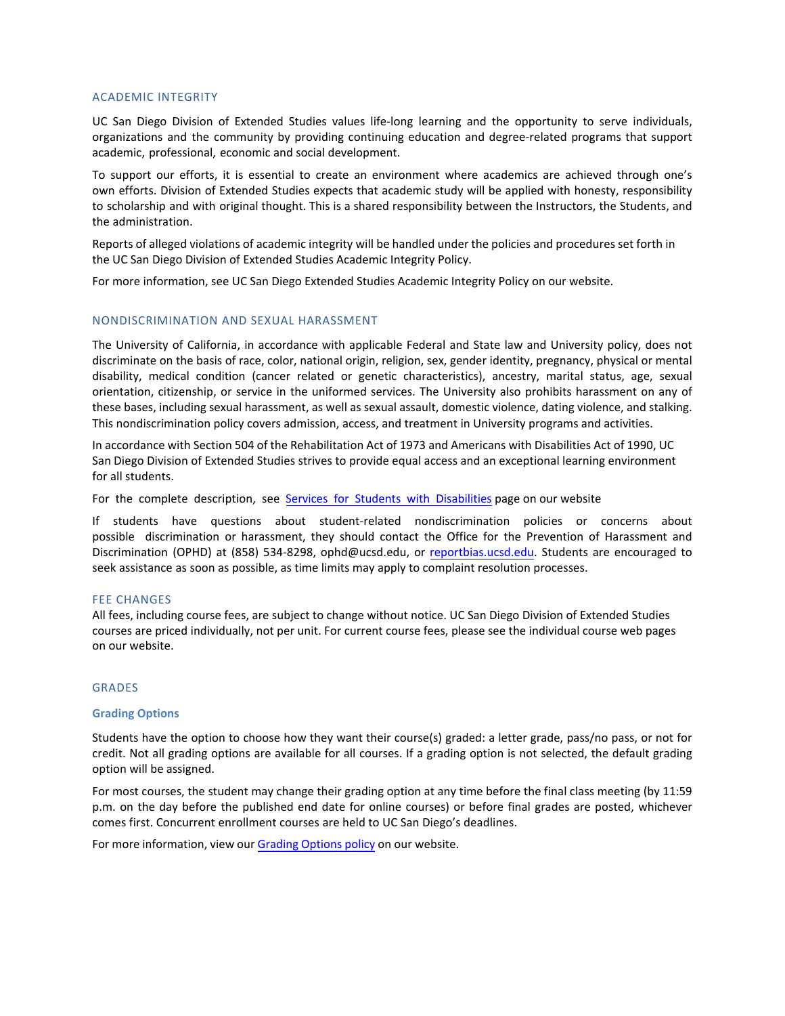#### ACADEMIC INTEGRITY

UC San Diego Division of Extended Studies values life-long learning and the opportunity to serve individuals, organizations and the community by providing continuing education and degree-related programs that support academic, professional, economic and social development.

To support our efforts, it is essential to create an environment where academics are achieved through one's own efforts. Division of Extended Studies expects that academic study will be applied with honesty, responsibility to scholarship and with original thought. This is a shared responsibility between the Instructors, the Students, and the administration.

Reports of alleged violations of academic integrity will be handled under the policies and procedures set forth in the UC San Diego Division of Extended Studies Academic Integrity Policy.

For more information, see UC San Diego [Extended Studies Academic Integrity Policy on our website.](http://extension.ucsd.edu/student/pdf/academicIntegrityPolicy.pdf)

#### NONDISCRIMINATION AND SEXUAL HARASSMENT

The University of California, in accordance with applicable Federal and State law and University policy, does not discriminate on the basis of race, color, national origin, religion, sex, gender identity, pregnancy, physical or mental disability, medical condition (cancer related or genetic characteristics), ancestry, marital status, age, sexual orientation, citizenship, or service in the uniformed services. The University also prohibits harassment on any of these bases, including sexual harassment, as well as sexual assault, domestic violence, dating violence, and stalking. This nondiscrimination policy covers admission, access, and treatment in University programs and activities.

In accordance with Section 504 of the Rehabilitation Act of 1973 and Americans with Disabilities Act of 1990, UC San Diego Division of Extended Studies strives to provide equal access and an exceptional learning environment for all students.

[For the complete description, see](https://extension.ucsd.edu/student-resources/Services-for-Students-with-Disabilities) [Services for Students with Disabilities](https://extendedstudies.ucsd.edu/student-resources/Services-for-Students-with-Disabilities) page on our website

If students have questions about student-related nondiscrimination policies or concerns about possible discrimination or harassment, they should contact the Office for the Prevention of Harassment and Discrimination (OPHD) at (858) 534-8298, [ophd@ucsd.edu,](mailto:ophd@ucsd.edu) or [reportbias.ucsd.edu.](file://ad/unex-dfs/Depts/Student%20Services/Veterans%20Education%20Benefits/VA%20Registration%20Packet/reportbias.ucsd.edu) Students are encouraged to seek assistance as soon as possible, as time limits may apply to complaint resolution processes.

#### FEE CHANGES

All fees, including course fees, are subject to change without notice. UC San Diego Division of Extended Studies courses are priced individually, not per unit. For current course fees, please see t[he individual course web pages](https://extension.ucsd.edu/courses-and-programs)  on our website.

## GRADES

#### **Grading Options**

Students have the option to choose how they want their course(s) graded: a letter grade, pass/no pass, or not for credit. Not all grading options are available for all courses. If a grading option is not selected, the default grading option will be assigned.

For most courses, the student may change their grading option at any time before the final class meeting (by 11:59 p.m. on the day before the published end date for online courses) or before final grades are posted, whichever comes first. Concurrent enrollment courses are held to UC San Diego's deadlines.

For more information, view our [Grading Options policy](https://extendedstudies.ucsd.edu/student-resources/registration-policies-and-procedures) [on our website.](https://extension.ucsd.edu/student-resources/registration-policies-and-procedures)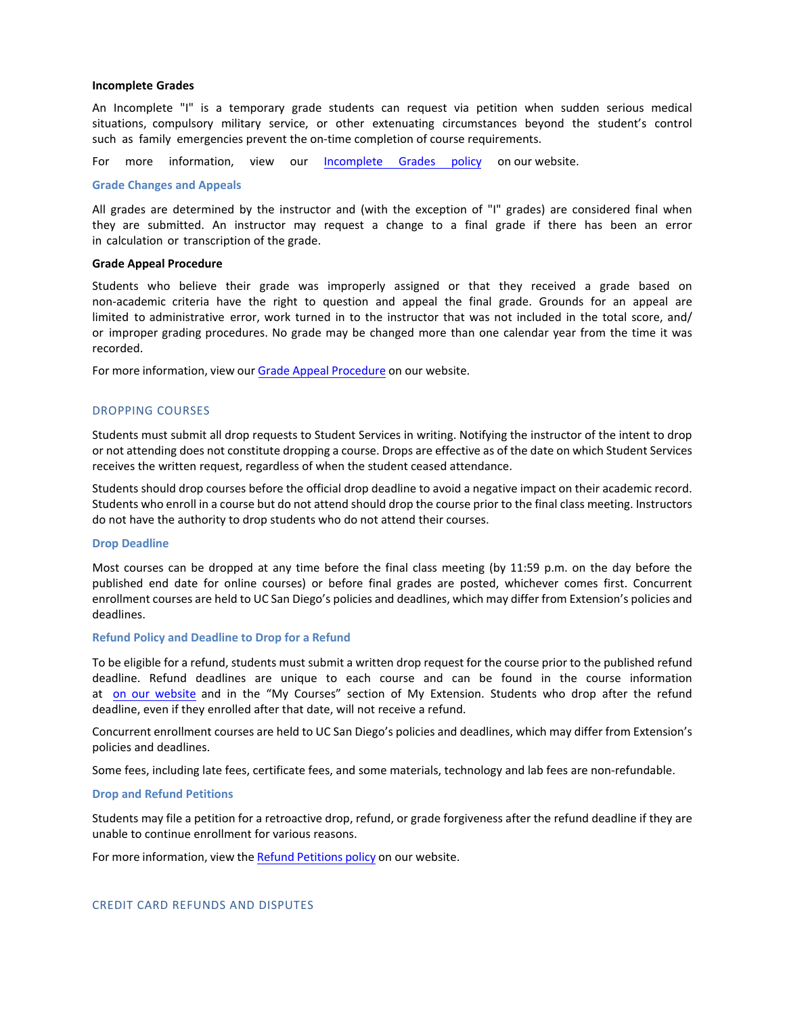#### **Incomplete Grades**

An Incomplete "I" is a temporary grade students can request via petition when sudden serious medical situations, compulsory military service, or other extenuating circumstances beyond the student's control such as family emergencies prevent the on-time completion of course requirements.

For more information, view our Incomplete [Grades policy](https://extendedstudies.ucsd.edu/student-resources/Academic-Information) on our website.

#### **Grade Changes and Appeals**

All grades are determined by the instructor and (with the exception of "I" grades) are considered final when they are submitted. An instructor may request a change to a final grade if there has been an error in calculation or transcription of the grade.

#### **Grade Appeal Procedure**

Students who believe their grade was improperly assigned or that they received a grade based on non-academic criteria have the right to question and appeal the final grade. Grounds for an appeal are limited to administrative error, work turned in to the instructor that was not included in the total score, and/ or improper grading procedures. No grade may be changed more than one calendar year from the time it was recorded.

For more information, view our [Grade Appeal Procedure](https://extendedstudies.ucsd.edu/student-resources/Academic-Information) on our website.

#### DROPPING COURSES

Students must submit all drop requests to Student Services in writing. Notifying the instructor of the intent to drop or not attending does not constitute dropping a course. Drops are effective as of the date on which Student Services receives the written request, regardless of when the student ceased attendance.

Students should drop courses before the official drop deadline to avoid a negative impact on their academic record. Students who enroll in a course but do not attend should drop the course prior to the final class meeting. Instructors do not have the authority to drop students who do not attend their courses.

#### **Drop Deadline**

Most courses can be dropped at any time before the final class meeting (by 11:59 p.m. on the day before the published end date for online courses) or before final grades are posted, whichever comes first. Concurrent enrollment courses are held to UC San Diego's policies and deadlines, which may differ from Extension's policies and deadlines.

#### **Refund Policy and Deadline to Drop for a Refund**

To be eligible for a refund, students must submit a written drop request for the course prior to the published refund deadline. Refund deadlines are unique to each course and can be found in the course information at [on our website](http://extendedstudies.ucsd.edu/) and in the "My Courses" section of My Extension. Students who drop after the refund deadline, even if they enrolled after that date, will not receive a refund.

Concurrent enrollment courses are held to UC San Diego's policies and deadlines, which may differ from Extension's policies and deadlines.

Some fees, including late fees, certificate fees, and some materials, technology and lab fees are non-refundable.

#### **Drop and Refund Petitions**

Students may file a petition for a retroactive drop, refund, or grade forgiveness after the refund deadline if they are unable to continue enrollment for various reasons.

For more information, view th[e Refund Petitions policy](https://extendedstudies.ucsd.edu/student-resources/Tuition-and-Fees) on our website.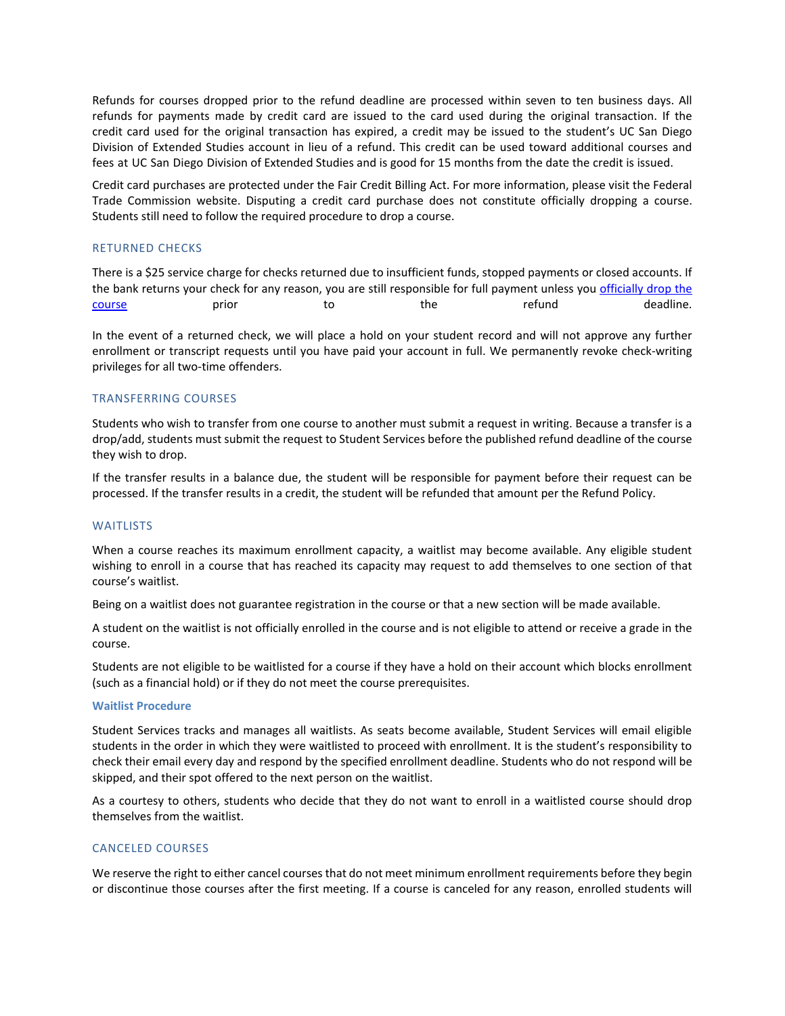Refunds for courses dropped prior to the refund deadline are processed within seven to ten business days. All refunds for payments made by credit card are issued to the card used during the original transaction. If the credit card used for the original transaction has expired, a credit may be issued to the student's UC San Diego Division of Extended Studies account in lieu of a refund. This credit can be used toward additional courses and fees at UC San Diego Division of Extended Studies and is good for 15 months from the date the credit is issued.

Credit card purchases are protected under the Fair Credit Billing Act. For more information, please visit the Federal Trade Commission website. Disputing a credit card purchase does not constitute officially dropping a course. Students still need to follow the required procedure to drop a course.

## RETURNED CHECKS

There is a \$25 service charge for checks returned due to insufficient funds, stopped payments or closed accounts. If the bank returns your check for any reason, you are still responsible for full payment unless you officially drop the [course](https://extendedstudies.ucsd.edu/student-resources/registration-policies-and-procedures) examples to the refund to the refund to the refund to deadline.

In the event of a returned check, we will place a hold on your student record and will not approve any further enrollment or transcript requests until you have paid your account in full. We permanently revoke check-writing privileges for all two-time offenders.

#### TRANSFERRING COURSES

Students who wish to transfer from one course to another must submit a request in writing. Because a transfer is a drop/add, students must submit the request to Student Services before the published refund deadline of the course they wish to drop.

If the transfer results in a balance due, the student will be responsible for payment before their request can be processed. If the transfer results in a credit, the student will be refunded that amount per the Refund Policy.

#### **WAITLISTS**

When a course reaches its maximum enrollment capacity, a waitlist may become available. Any eligible student wishing to enroll in a course that has reached its capacity may request to add themselves to one section of that course's waitlist.

Being on a waitlist does not guarantee registration in the course or that a new section will be made available.

A student on the waitlist is not officially enrolled in the course and is not eligible to attend or receive a grade in the course.

Students are not eligible to be waitlisted for a course if they have a hold on their account which blocks enrollment (such as a financial hold) or if they do not meet the course prerequisites.

#### **Waitlist Procedure**

Student Services tracks and manages all waitlists. As seats become available, Student Services will email eligible students in the order in which they were waitlisted to proceed with enrollment. It is the student's responsibility to check their email every day and respond by the specified enrollment deadline. Students who do not respond will be skipped, and their spot offered to the next person on the waitlist.

As a courtesy to others, students who decide that they do not want to enroll in a waitlisted course should drop themselves from the waitlist.

#### CANCELED COURSES

We reserve the right to either cancel courses that do not meet minimum enrollment requirements before they begin or discontinue those courses after the first meeting. If a course is canceled for any reason, enrolled students will